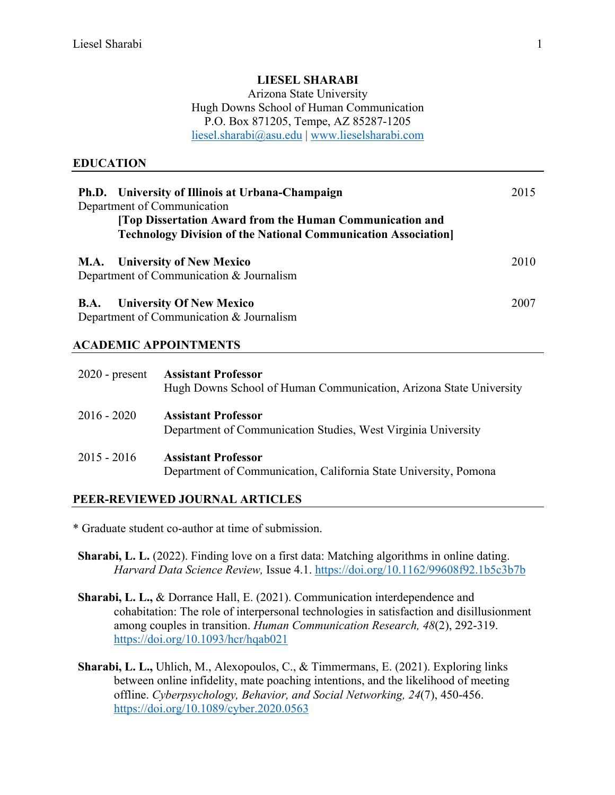#### **LIESEL SHARABI**

Arizona State University Hugh Downs School of Human Communication P.O. Box 871205, Tempe, AZ 85287-1205 liesel.sharabi@asu.edu | www.lieselsharabi.com

#### **EDUCATION**

| Ph.D. University of Illinois at Urbana-Champaign<br>Department of Communication<br>[Top Dissertation Award from the Human Communication and<br><b>Technology Division of the National Communication Association</b> | 2015 |
|---------------------------------------------------------------------------------------------------------------------------------------------------------------------------------------------------------------------|------|
| <b>M.A.</b> University of New Mexico<br>Department of Communication & Journalism                                                                                                                                    | 2010 |
| <b>University Of New Mexico</b><br><b>B.A.</b><br>Department of Communication & Journalism                                                                                                                          | 2007 |

#### **ACADEMIC APPOINTMENTS**

| $2020$ - present | <b>Assistant Professor</b><br>Hugh Downs School of Human Communication, Arizona State University |
|------------------|--------------------------------------------------------------------------------------------------|
| $2016 - 2020$    | <b>Assistant Professor</b><br>Department of Communication Studies, West Virginia University      |
| $2015 - 2016$    | <b>Assistant Professor</b><br>Department of Communication, California State University, Pomona   |

#### **PEER-REVIEWED JOURNAL ARTICLES**

\* Graduate student co-author at time of submission.

**Sharabi, L. L.** (2022). Finding love on a first data: Matching algorithms in online dating. *Harvard Data Science Review,* Issue 4.1. https://doi.org/10.1162/99608f92.1b5c3b7b

- **Sharabi, L. L.,** & Dorrance Hall, E. (2021). Communication interdependence and cohabitation: The role of interpersonal technologies in satisfaction and disillusionment among couples in transition. *Human Communication Research, 48*(2), 292-319. https://doi.org/10.1093/hcr/hqab021
- **Sharabi, L. L.,** Uhlich, M., Alexopoulos, C., & Timmermans, E. (2021). Exploring links between online infidelity, mate poaching intentions, and the likelihood of meeting offline. *Cyberpsychology, Behavior, and Social Networking, 24*(7), 450-456. https://doi.org/10.1089/cyber.2020.0563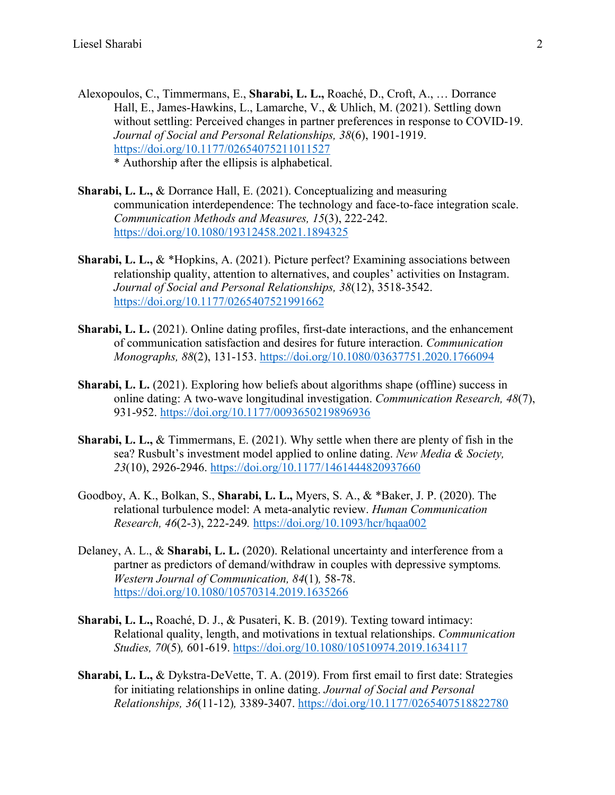- Alexopoulos, C., Timmermans, E., **Sharabi, L. L.,** Roaché, D., Croft, A., … Dorrance Hall, E., James-Hawkins, L., Lamarche, V., & Uhlich, M. (2021). Settling down without settling: Perceived changes in partner preferences in response to COVID-19. *Journal of Social and Personal Relationships, 38*(6), 1901-1919. https://doi.org/10.1177/02654075211011527 \* Authorship after the ellipsis is alphabetical.
- **Sharabi, L. L.,** & Dorrance Hall, E. (2021). Conceptualizing and measuring communication interdependence: The technology and face-to-face integration scale. *Communication Methods and Measures, 15*(3), 222-242. https://doi.org/10.1080/19312458.2021.1894325
- **Sharabi, L. L.,** & \*Hopkins, A. (2021). Picture perfect? Examining associations between relationship quality, attention to alternatives, and couples' activities on Instagram. *Journal of Social and Personal Relationships, 38*(12), 3518-3542. https://doi.org/10.1177/0265407521991662
- **Sharabi, L. L.** (2021). Online dating profiles, first-date interactions, and the enhancement of communication satisfaction and desires for future interaction. *Communication Monographs, 88*(2), 131-153. https://doi.org/10.1080/03637751.2020.1766094
- **Sharabi, L. L.** (2021). Exploring how beliefs about algorithms shape (offline) success in online dating: A two-wave longitudinal investigation. *Communication Research, 48*(7), 931-952. https://doi.org/10.1177/0093650219896936
- **Sharabi, L. L.,** & Timmermans, E. (2021). Why settle when there are plenty of fish in the sea? Rusbult's investment model applied to online dating. *New Media & Society, 23*(10), 2926-2946. https://doi.org/10.1177/1461444820937660
- Goodboy, A. K., Bolkan, S., **Sharabi, L. L.,** Myers, S. A., & \*Baker, J. P. (2020). The relational turbulence model: A meta-analytic review. *Human Communication Research, 46*(2-3), 222-249*.* https://doi.org/10.1093/hcr/hqaa002
- Delaney, A. L., & **Sharabi, L. L.** (2020). Relational uncertainty and interference from a partner as predictors of demand/withdraw in couples with depressive symptoms*. Western Journal of Communication, 84*(1)*,* 58-78. https://doi.org/10.1080/10570314.2019.1635266
- **Sharabi, L. L.,** Roaché, D. J., & Pusateri, K. B. (2019). Texting toward intimacy: Relational quality, length, and motivations in textual relationships. *Communication Studies, 70*(5)*,* 601-619. https://doi.org/10.1080/10510974.2019.1634117
- **Sharabi, L. L.,** & Dykstra-DeVette, T. A. (2019). From first email to first date: Strategies for initiating relationships in online dating. *Journal of Social and Personal Relationships, 36*(11-12)*,* 3389-3407. https://doi.org/10.1177/0265407518822780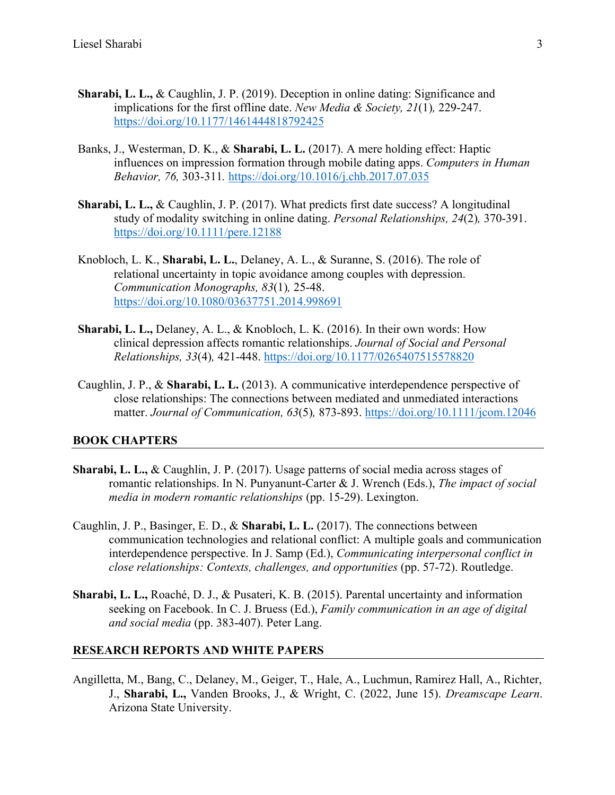- **Sharabi, L. L.,** & Caughlin, J. P. (2019). Deception in online dating: Significance and implications for the first offline date. *New Media & Society, 21*(1)*,* 229-247. https://doi.org/10.1177/1461444818792425
- Banks, J., Westerman, D. K., & **Sharabi, L. L.** (2017). A mere holding effect: Haptic influences on impression formation through mobile dating apps. *Computers in Human Behavior, 76,* 303-311*.* https://doi.org/10.1016/j.chb.2017.07.035
- **Sharabi, L. L.,** & Caughlin, J. P. (2017). What predicts first date success? A longitudinal study of modality switching in online dating. *Personal Relationships, 24*(2)*,* 370-391. https://doi.org/10.1111/pere.12188
- Knobloch, L. K., **Sharabi, L. L.**, Delaney, A. L., & Suranne, S. (2016). The role of relational uncertainty in topic avoidance among couples with depression. *Communication Monographs, 83*(1)*,* 25-48. https://doi.org/10.1080/03637751.2014.998691
- **Sharabi, L. L.,** Delaney, A. L., & Knobloch, L. K. (2016). In their own words: How clinical depression affects romantic relationships. *Journal of Social and Personal Relationships, 33*(4)*,* 421-448. https://doi.org/10.1177/0265407515578820
- Caughlin, J. P., & **Sharabi, L. L.** (2013). A communicative interdependence perspective of close relationships: The connections between mediated and unmediated interactions matter. *Journal of Communication, 63*(5)*,* 873-893. https://doi.org/10.1111/jcom.12046

#### **BOOK CHAPTERS**

- **Sharabi, L. L.,** & Caughlin, J. P. (2017). Usage patterns of social media across stages of romantic relationships. In N. Punyanunt-Carter & J. Wrench (Eds.), *The impact of social media in modern romantic relationships* (pp. 15-29). Lexington.
- Caughlin, J. P., Basinger, E. D., & **Sharabi, L. L.** (2017). The connections between communication technologies and relational conflict: A multiple goals and communication interdependence perspective. In J. Samp (Ed.), *Communicating interpersonal conflict in close relationships: Contexts, challenges, and opportunities* (pp. 57-72). Routledge.
- **Sharabi, L. L.,** Roaché, D. J., & Pusateri, K. B. (2015). Parental uncertainty and information seeking on Facebook. In C. J. Bruess (Ed.), *Family communication in an age of digital and social media* (pp. 383-407). Peter Lang.

#### **RESEARCH REPORTS AND WHITE PAPERS**

Angilletta, M., Bang, C., Delaney, M., Geiger, T., Hale, A., Luchmun, Ramirez Hall, A., Richter, J., **Sharabi, L.,** Vanden Brooks, J., & Wright, C. (2022, June 15). *Dreamscape Learn*. Arizona State University.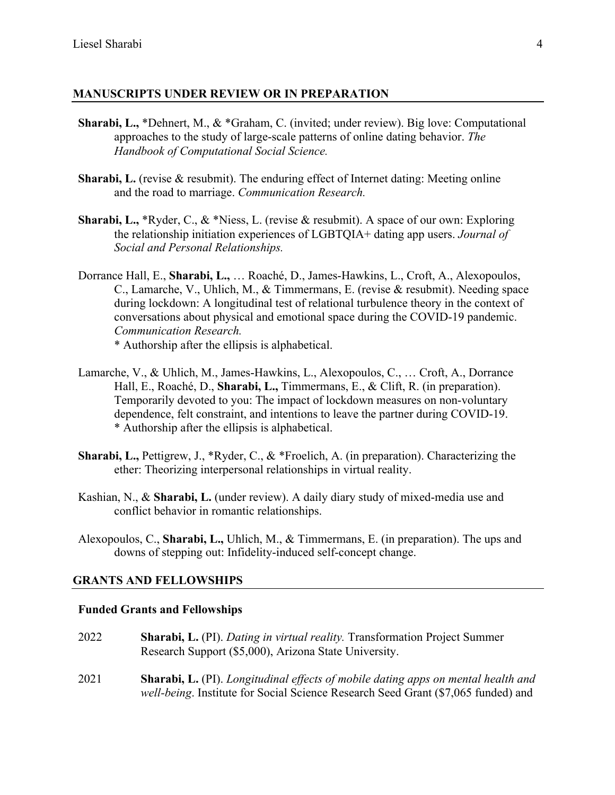### **MANUSCRIPTS UNDER REVIEW OR IN PREPARATION**

- **Sharabi, L.,** \*Dehnert, M., & \*Graham, C. (invited; under review). Big love: Computational approaches to the study of large-scale patterns of online dating behavior. *The Handbook of Computational Social Science.*
- **Sharabi, L.** (revise & resubmit). The enduring effect of Internet dating: Meeting online and the road to marriage. *Communication Research.*
- **Sharabi, L.,** \*Ryder, C., & \*Niess, L. (revise & resubmit). A space of our own: Exploring the relationship initiation experiences of LGBTQIA+ dating app users. *Journal of Social and Personal Relationships.*
- Dorrance Hall, E., **Sharabi, L.,** … Roaché, D., James-Hawkins, L., Croft, A., Alexopoulos, C., Lamarche, V., Uhlich, M., & Timmermans, E. (revise & resubmit). Needing space during lockdown: A longitudinal test of relational turbulence theory in the context of conversations about physical and emotional space during the COVID-19 pandemic. *Communication Research.*

\* Authorship after the ellipsis is alphabetical.

- Lamarche, V., & Uhlich, M., James-Hawkins, L., Alexopoulos, C., … Croft, A., Dorrance Hall, E., Roaché, D., **Sharabi, L.,** Timmermans, E., & Clift, R. (in preparation). Temporarily devoted to you: The impact of lockdown measures on non-voluntary dependence, felt constraint, and intentions to leave the partner during COVID-19. \* Authorship after the ellipsis is alphabetical.
- **Sharabi, L.,** Pettigrew, J., \*Ryder, C., & \*Froelich, A. (in preparation). Characterizing the ether: Theorizing interpersonal relationships in virtual reality.
- Kashian, N., & **Sharabi, L.** (under review). A daily diary study of mixed-media use and conflict behavior in romantic relationships.
- Alexopoulos, C., **Sharabi, L.,** Uhlich, M., & Timmermans, E. (in preparation). The ups and downs of stepping out: Infidelity-induced self-concept change.

#### **GRANTS AND FELLOWSHIPS**

#### **Funded Grants and Fellowships**

- 2022 **Sharabi, L.** (PI). *Dating in virtual reality.* Transformation Project Summer Research Support (\$5,000), Arizona State University.
- 2021 **Sharabi, L.** (PI). *Longitudinal effects of mobile dating apps on mental health and well-being*. Institute for Social Science Research Seed Grant (\$7,065 funded) and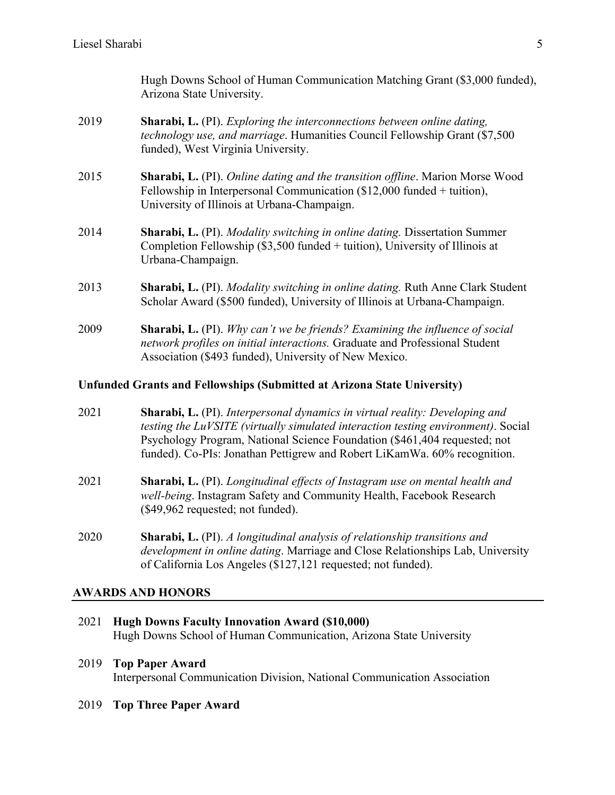Hugh Downs School of Human Communication Matching Grant (\$3,000 funded), Arizona State University.

- 2019 **Sharabi, L.** (PI). *Exploring the interconnections between online dating, technology use, and marriage*. Humanities Council Fellowship Grant (\$7,500 funded), West Virginia University.
- 2015 **Sharabi, L.** (PI). *Online dating and the transition offline*. Marion Morse Wood Fellowship in Interpersonal Communication (\$12,000 funded + tuition), University of Illinois at Urbana-Champaign.
- 2014 **Sharabi, L.** (PI). *Modality switching in online dating.* Dissertation Summer Completion Fellowship (\$3,500 funded + tuition), University of Illinois at Urbana-Champaign.
- 2013 **Sharabi, L.** (PI). *Modality switching in online dating.* Ruth Anne Clark Student Scholar Award (\$500 funded), University of Illinois at Urbana-Champaign.
- 2009 **Sharabi, L.** (PI). *Why can't we be friends? Examining the influence of social network profiles on initial interactions.* Graduate and Professional Student Association (\$493 funded), University of New Mexico.

#### **Unfunded Grants and Fellowships (Submitted at Arizona State University)**

- 2021 **Sharabi, L.** (PI). *Interpersonal dynamics in virtual reality: Developing and testing the LuVSITE (virtually simulated interaction testing environment)*. Social Psychology Program, National Science Foundation (\$461,404 requested; not funded). Co-PIs: Jonathan Pettigrew and Robert LiKamWa. 60% recognition.
- 2021 **Sharabi, L.** (PI). *Longitudinal effects of Instagram use on mental health and well-being*. Instagram Safety and Community Health, Facebook Research (\$49,962 requested; not funded).
- 2020 **Sharabi, L.** (PI). *A longitudinal analysis of relationship transitions and development in online dating*. Marriage and Close Relationships Lab, University of California Los Angeles (\$127,121 requested; not funded).

#### **AWARDS AND HONORS**

- 2021 **Hugh Downs Faculty Innovation Award (\$10,000)** Hugh Downs School of Human Communication, Arizona State University
- 2019 **Top Paper Award** Interpersonal Communication Division, National Communication Association
- 2019 **Top Three Paper Award**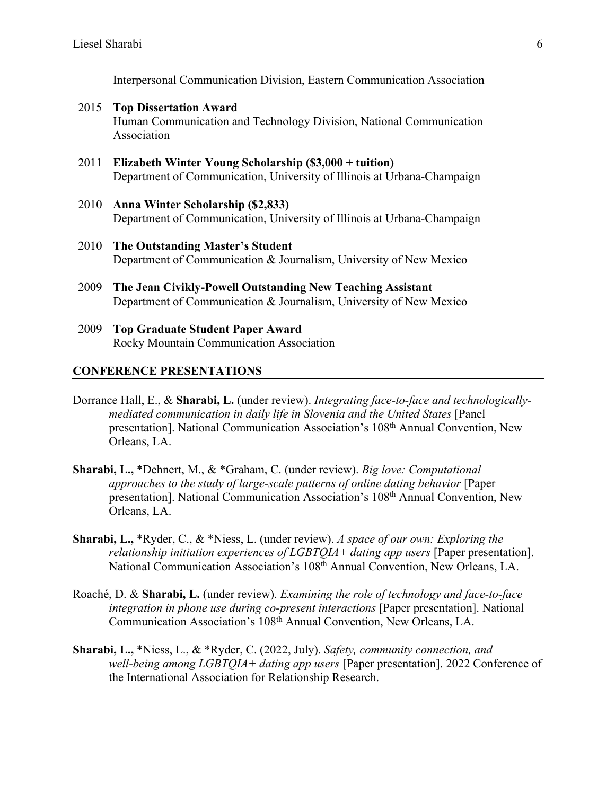Interpersonal Communication Division, Eastern Communication Association

- 2015 **Top Dissertation Award** Human Communication and Technology Division, National Communication Association
- 2011 **Elizabeth Winter Young Scholarship (\$3,000 + tuition)** Department of Communication, University of Illinois at Urbana-Champaign
- 2010 **Anna Winter Scholarship (\$2,833)** Department of Communication, University of Illinois at Urbana-Champaign
- 2010 **The Outstanding Master's Student** Department of Communication & Journalism, University of New Mexico
- 2009 **The Jean Civikly-Powell Outstanding New Teaching Assistant** Department of Communication & Journalism, University of New Mexico
- 2009 **Top Graduate Student Paper Award** Rocky Mountain Communication Association

#### **CONFERENCE PRESENTATIONS**

- Dorrance Hall, E., & **Sharabi, L.** (under review). *Integrating face-to-face and technologicallymediated communication in daily life in Slovenia and the United States* [Panel presentation]. National Communication Association's 108th Annual Convention, New Orleans, LA.
- **Sharabi, L.,** \*Dehnert, M., & \*Graham, C. (under review). *Big love: Computational approaches to the study of large-scale patterns of online dating behavior* [Paper presentation]. National Communication Association's 108<sup>th</sup> Annual Convention, New Orleans, LA.
- **Sharabi, L.,** \*Ryder, C., & \*Niess, L. (under review). *A space of our own: Exploring the relationship initiation experiences of LGBTQIA+ dating app users* [Paper presentation]. National Communication Association's 108th Annual Convention, New Orleans, LA.
- Roaché, D. & **Sharabi, L.** (under review). *Examining the role of technology and face-to-face integration in phone use during co-present interactions* [Paper presentation]. National Communication Association's 108th Annual Convention, New Orleans, LA.
- **Sharabi, L.,** \*Niess, L., & \*Ryder, C. (2022, July). *Safety, community connection, and well-being among LGBTQIA+ dating app users* [Paper presentation]. 2022 Conference of the International Association for Relationship Research.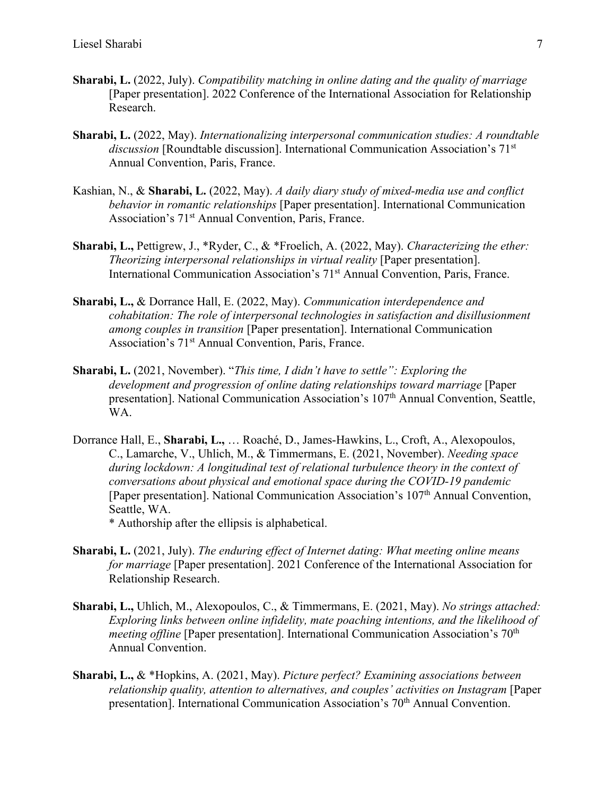- **Sharabi, L.** (2022, July). *Compatibility matching in online dating and the quality of marriage* [Paper presentation]. 2022 Conference of the International Association for Relationship Research.
- **Sharabi, L.** (2022, May). *Internationalizing interpersonal communication studies: A roundtable discussion* [Roundtable discussion]. International Communication Association's 71<sup>st</sup> Annual Convention, Paris, France.
- Kashian, N., & **Sharabi, L.** (2022, May). *A daily diary study of mixed-media use and conflict behavior in romantic relationships* [Paper presentation]. International Communication Association's 71st Annual Convention, Paris, France.
- **Sharabi, L.,** Pettigrew, J., \*Ryder, C., & \*Froelich, A. (2022, May). *Characterizing the ether: Theorizing interpersonal relationships in virtual reality* [Paper presentation]. International Communication Association's 71<sup>st</sup> Annual Convention, Paris, France.
- **Sharabi, L.,** & Dorrance Hall, E. (2022, May). *Communication interdependence and cohabitation: The role of interpersonal technologies in satisfaction and disillusionment among couples in transition* [Paper presentation]. International Communication Association's 71<sup>st</sup> Annual Convention, Paris, France.
- **Sharabi, L.** (2021, November). "*This time, I didn't have to settle": Exploring the development and progression of online dating relationships toward marriage* [Paper presentation]. National Communication Association's 107<sup>th</sup> Annual Convention, Seattle, WA.
- Dorrance Hall, E., **Sharabi, L.,** … Roaché, D., James-Hawkins, L., Croft, A., Alexopoulos, C., Lamarche, V., Uhlich, M., & Timmermans, E. (2021, November). *Needing space during lockdown: A longitudinal test of relational turbulence theory in the context of conversations about physical and emotional space during the COVID-19 pandemic* [Paper presentation]. National Communication Association's 107th Annual Convention, Seattle, WA.

\* Authorship after the ellipsis is alphabetical.

- **Sharabi, L.** (2021, July). *The enduring effect of Internet dating: What meeting online means for marriage* [Paper presentation]. 2021 Conference of the International Association for Relationship Research.
- **Sharabi, L.,** Uhlich, M., Alexopoulos, C., & Timmermans, E. (2021, May). *No strings attached: Exploring links between online infidelity, mate poaching intentions, and the likelihood of meeting offline* [Paper presentation]. International Communication Association's 70<sup>th</sup> Annual Convention.
- **Sharabi, L.,** & \*Hopkins, A. (2021, May). *Picture perfect? Examining associations between relationship quality, attention to alternatives, and couples' activities on Instagram* [Paper presentation]. International Communication Association's 70<sup>th</sup> Annual Convention.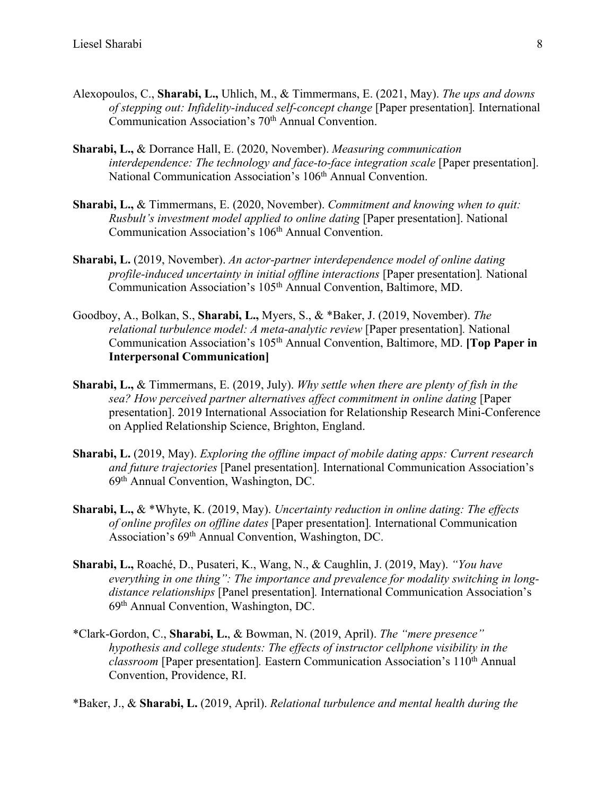- Alexopoulos, C., **Sharabi, L.,** Uhlich, M., & Timmermans, E. (2021, May). *The ups and downs of stepping out: Infidelity-induced self-concept change* [Paper presentation]*.* International Communication Association's 70<sup>th</sup> Annual Convention.
- **Sharabi, L.,** & Dorrance Hall, E. (2020, November). *Measuring communication interdependence: The technology and face-to-face integration scale* [Paper presentation]. National Communication Association's 106<sup>th</sup> Annual Convention.
- **Sharabi, L.,** & Timmermans, E. (2020, November). *Commitment and knowing when to quit: Rusbult's investment model applied to online dating* [Paper presentation]. National Communication Association's 106<sup>th</sup> Annual Convention.
- **Sharabi, L.** (2019, November). *An actor-partner interdependence model of online dating profile-induced uncertainty in initial offline interactions* [Paper presentation]*.* National Communication Association's 105th Annual Convention, Baltimore, MD.
- Goodboy, A., Bolkan, S., **Sharabi, L.,** Myers, S., & \*Baker, J. (2019, November). *The relational turbulence model: A meta-analytic review* [Paper presentation]*.* National Communication Association's 105th Annual Convention, Baltimore, MD. **[Top Paper in Interpersonal Communication]**
- **Sharabi, L.,** & Timmermans, E. (2019, July). *Why settle when there are plenty of fish in the sea? How perceived partner alternatives affect commitment in online dating* [Paper presentation]. 2019 International Association for Relationship Research Mini-Conference on Applied Relationship Science, Brighton, England.
- **Sharabi, L.** (2019, May). *Exploring the offline impact of mobile dating apps: Current research and future trajectories* [Panel presentation]*.* International Communication Association's 69th Annual Convention, Washington, DC.
- **Sharabi, L.,** & \*Whyte, K. (2019, May). *Uncertainty reduction in online dating: The effects of online profiles on offline dates* [Paper presentation]*.* International Communication Association's 69th Annual Convention, Washington, DC.
- **Sharabi, L.,** Roaché, D., Pusateri, K., Wang, N., & Caughlin, J. (2019, May). *"You have everything in one thing": The importance and prevalence for modality switching in longdistance relationships* [Panel presentation]*.* International Communication Association's 69th Annual Convention, Washington, DC.
- \*Clark-Gordon, C., **Sharabi, L.**, & Bowman, N. (2019, April). *The "mere presence" hypothesis and college students: The effects of instructor cellphone visibility in the classroom* [Paper presentation]*.* Eastern Communication Association's 110th Annual Convention, Providence, RI.

\*Baker, J., & **Sharabi, L.** (2019, April). *Relational turbulence and mental health during the*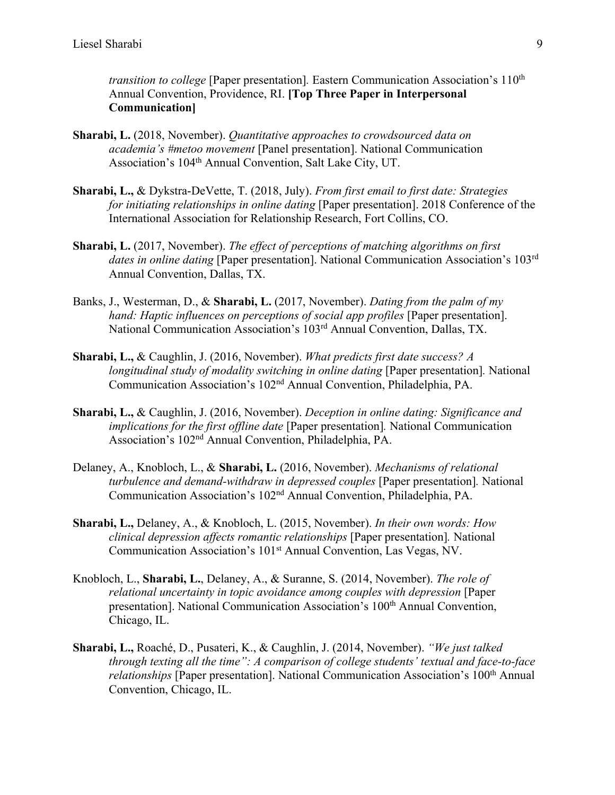*transition to college* [Paper presentation]. Eastern Communication Association's 110<sup>th</sup> Annual Convention, Providence, RI. **[Top Three Paper in Interpersonal Communication]**

- **Sharabi, L.** (2018, November). *Quantitative approaches to crowdsourced data on academia's #metoo movement* [Panel presentation]. National Communication Association's 104th Annual Convention, Salt Lake City, UT.
- **Sharabi, L.,** & Dykstra-DeVette, T. (2018, July). *From first email to first date: Strategies for initiating relationships in online dating* [Paper presentation]. 2018 Conference of the International Association for Relationship Research, Fort Collins, CO.
- **Sharabi, L.** (2017, November). *The effect of perceptions of matching algorithms on first dates in online dating* [Paper presentation]. National Communication Association's 103<sup>rd</sup> Annual Convention, Dallas, TX.
- Banks, J., Westerman, D., & **Sharabi, L.** (2017, November). *Dating from the palm of my hand: Haptic influences on perceptions of social app profiles* [Paper presentation]. National Communication Association's 103rd Annual Convention, Dallas, TX.
- **Sharabi, L.,** & Caughlin, J. (2016, November). *What predicts first date success? A longitudinal study of modality switching in online dating* [Paper presentation]*.* National Communication Association's 102nd Annual Convention, Philadelphia, PA.
- **Sharabi, L.,** & Caughlin, J. (2016, November). *Deception in online dating: Significance and implications for the first offline date* [Paper presentation]*.* National Communication Association's 102nd Annual Convention, Philadelphia, PA.
- Delaney, A., Knobloch, L., & **Sharabi, L.** (2016, November). *Mechanisms of relational turbulence and demand-withdraw in depressed couples* [Paper presentation]*.* National Communication Association's 102nd Annual Convention, Philadelphia, PA.
- **Sharabi, L.,** Delaney, A., & Knobloch, L. (2015, November). *In their own words: How clinical depression affects romantic relationships* [Paper presentation]*.* National Communication Association's 101<sup>st</sup> Annual Convention, Las Vegas, NV.
- Knobloch, L., **Sharabi, L.**, Delaney, A., & Suranne, S. (2014, November). *The role of relational uncertainty in topic avoidance among couples with depression* [Paper presentation]. National Communication Association's 100<sup>th</sup> Annual Convention, Chicago, IL.
- **Sharabi, L.,** Roaché, D., Pusateri, K., & Caughlin, J. (2014, November). *"We just talked through texting all the time": A comparison of college students' textual and face-to-face relationships* [Paper presentation]. National Communication Association's 100<sup>th</sup> Annual Convention, Chicago, IL.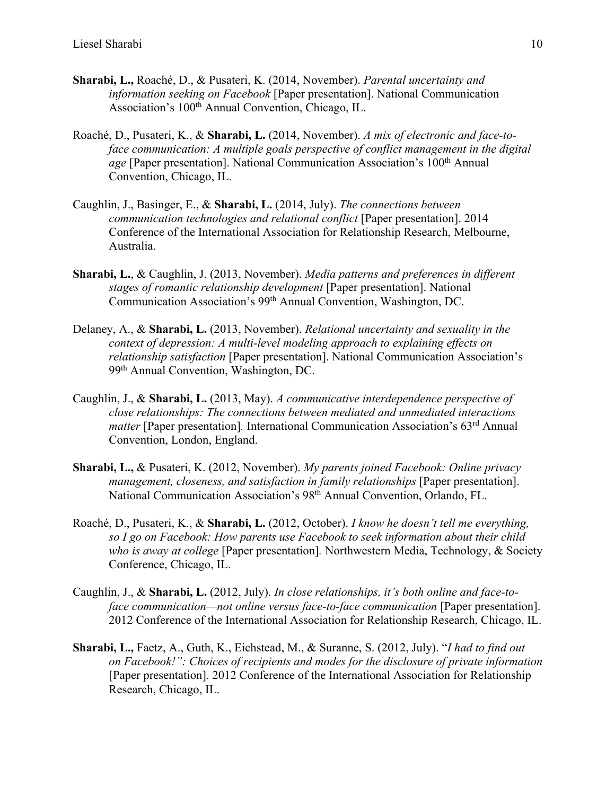- **Sharabi, L.,** Roaché, D., & Pusateri, K. (2014, November). *Parental uncertainty and information seeking on Facebook* [Paper presentation]. National Communication Association's 100<sup>th</sup> Annual Convention, Chicago, IL.
- Roaché, D., Pusateri, K., & **Sharabi, L.** (2014, November). *A mix of electronic and face-toface communication: A multiple goals perspective of conflict management in the digital age* [Paper presentation]. National Communication Association's 100<sup>th</sup> Annual Convention, Chicago, IL.
- Caughlin, J., Basinger, E., & **Sharabi, L.** (2014, July). *The connections between communication technologies and relational conflict* [Paper presentation]. 2014 Conference of the International Association for Relationship Research, Melbourne, Australia.
- **Sharabi, L.**, & Caughlin, J. (2013, November). *Media patterns and preferences in different stages of romantic relationship development* [Paper presentation]. National Communication Association's 99th Annual Convention, Washington, DC.
- Delaney, A., & **Sharabi, L.** (2013, November). *Relational uncertainty and sexuality in the context of depression: A multi-level modeling approach to explaining effects on relationship satisfaction* [Paper presentation]. National Communication Association's 99th Annual Convention, Washington, DC.
- Caughlin, J., & **Sharabi, L.** (2013, May). *A communicative interdependence perspective of close relationships: The connections between mediated and unmediated interactions matter* [Paper presentation]. International Communication Association's 63<sup>rd</sup> Annual Convention, London, England.
- **Sharabi, L.,** & Pusateri, K. (2012, November). *My parents joined Facebook: Online privacy management, closeness, and satisfaction in family relationships* [Paper presentation]. National Communication Association's 98th Annual Convention, Orlando, FL.
- Roaché, D., Pusateri, K., & **Sharabi, L.** (2012, October). *I know he doesn't tell me everything, so I go on Facebook: How parents use Facebook to seek information about their child who is away at college* [Paper presentation]*.* Northwestern Media, Technology, & Society Conference, Chicago, IL.
- Caughlin, J., & **Sharabi, L.** (2012, July). *In close relationships, it's both online and face-toface communication—not online versus face-to-face communication* [Paper presentation]. 2012 Conference of the International Association for Relationship Research, Chicago, IL.
- **Sharabi, L.,** Faetz, A., Guth, K., Eichstead, M., & Suranne, S. (2012, July). "*I had to find out on Facebook!": Choices of recipients and modes for the disclosure of private information* [Paper presentation]. 2012 Conference of the International Association for Relationship Research, Chicago, IL.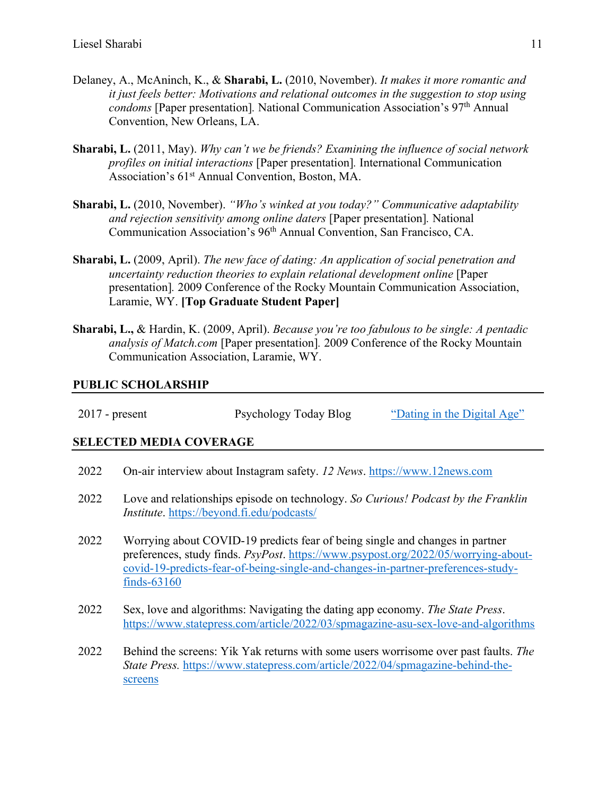- Delaney, A., McAninch, K., & **Sharabi, L.** (2010, November). *It makes it more romantic and it just feels better: Motivations and relational outcomes in the suggestion to stop using condoms* [Paper presentation]. National Communication Association's 97<sup>th</sup> Annual Convention, New Orleans, LA.
- **Sharabi, L.** (2011, May). *Why can't we be friends? Examining the influence of social network profiles on initial interactions* [Paper presentation]*.* International Communication Association's 61<sup>st</sup> Annual Convention, Boston, MA.
- **Sharabi, L.** (2010, November). *"Who's winked at you today?" Communicative adaptability and rejection sensitivity among online daters* [Paper presentation]*.* National Communication Association's 96th Annual Convention, San Francisco, CA.
- **Sharabi, L.** (2009, April). *The new face of dating: An application of social penetration and uncertainty reduction theories to explain relational development online* [Paper presentation]*.* 2009 Conference of the Rocky Mountain Communication Association, Laramie, WY. **[Top Graduate Student Paper]**
- **Sharabi, L.,** & Hardin, K. (2009, April). *Because you're too fabulous to be single: A pentadic analysis of Match.com* [Paper presentation]*.* 2009 Conference of the Rocky Mountain Communication Association, Laramie, WY.

#### **PUBLIC SCHOLARSHIP**

| $2017$ - present | Psychology Today Blog | "Dating in the Digital Age" |
|------------------|-----------------------|-----------------------------|
|                  |                       |                             |

#### **SELECTED MEDIA COVERAGE**

- 2022 On-air interview about Instagram safety. *12 News*. https://www.12news.com
- 2022 Love and relationships episode on technology. *So Curious! Podcast by the Franklin Institute*. https://beyond.fi.edu/podcasts/
- 2022 Worrying about COVID-19 predicts fear of being single and changes in partner preferences, study finds. *PsyPost*. https://www.psypost.org/2022/05/worrying-aboutcovid-19-predicts-fear-of-being-single-and-changes-in-partner-preferences-studyfinds-63160
- 2022 Sex, love and algorithms: Navigating the dating app economy. *The State Press*. https://www.statepress.com/article/2022/03/spmagazine-asu-sex-love-and-algorithms
- 2022 Behind the screens: Yik Yak returns with some users worrisome over past faults. *The State Press.* https://www.statepress.com/article/2022/04/spmagazine-behind-thescreens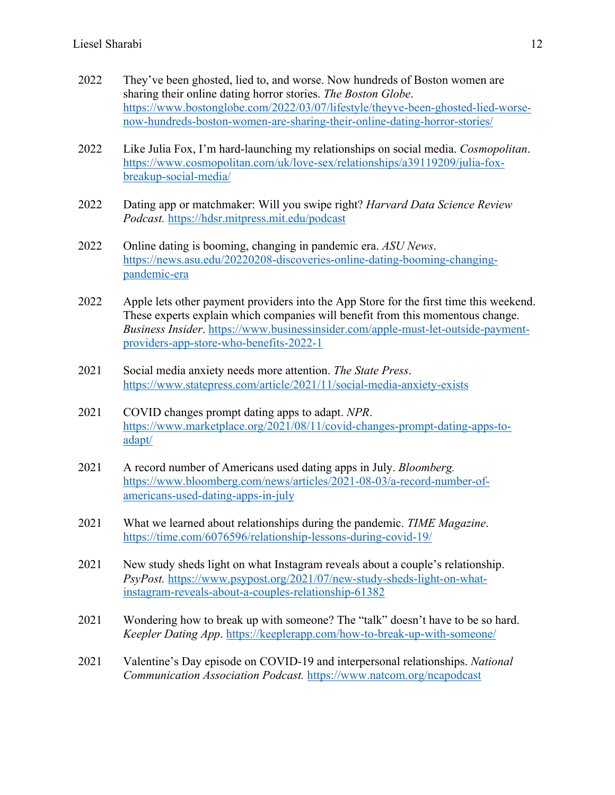- 2022 They've been ghosted, lied to, and worse. Now hundreds of Boston women are sharing their online dating horror stories. *The Boston Globe*. https://www.bostonglobe.com/2022/03/07/lifestyle/theyve-been-ghosted-lied-worsenow-hundreds-boston-women-are-sharing-their-online-dating-horror-stories/
- 2022 Like Julia Fox, I'm hard-launching my relationships on social media. *Cosmopolitan*. https://www.cosmopolitan.com/uk/love-sex/relationships/a39119209/julia-foxbreakup-social-media/
- 2022 Dating app or matchmaker: Will you swipe right? *Harvard Data Science Review Podcast.* https://hdsr.mitpress.mit.edu/podcast
- 2022 Online dating is booming, changing in pandemic era. *ASU News*. https://news.asu.edu/20220208-discoveries-online-dating-booming-changingpandemic-era
- 2022 Apple lets other payment providers into the App Store for the first time this weekend. These experts explain which companies will benefit from this momentous change. *Business Insider*. https://www.businessinsider.com/apple-must-let-outside-paymentproviders-app-store-who-benefits-2022-1
- 2021 Social media anxiety needs more attention. *The State Press*. https://www.statepress.com/article/2021/11/social-media-anxiety-exists
- 2021 COVID changes prompt dating apps to adapt. *NPR*. https://www.marketplace.org/2021/08/11/covid-changes-prompt-dating-apps-toadapt/
- 2021 A record number of Americans used dating apps in July. *Bloomberg.*  https://www.bloomberg.com/news/articles/2021-08-03/a-record-number-ofamericans-used-dating-apps-in-july
- 2021 What we learned about relationships during the pandemic. *TIME Magazine*. https://time.com/6076596/relationship-lessons-during-covid-19/
- 2021 New study sheds light on what Instagram reveals about a couple's relationship. *PsyPost.* https://www.psypost.org/2021/07/new-study-sheds-light-on-whatinstagram-reveals-about-a-couples-relationship-61382
- 2021 Wondering how to break up with someone? The "talk" doesn't have to be so hard. *Keepler Dating App*. https://keeplerapp.com/how-to-break-up-with-someone/
- 2021 Valentine's Day episode on COVID-19 and interpersonal relationships. *National Communication Association Podcast.* https://www.natcom.org/ncapodcast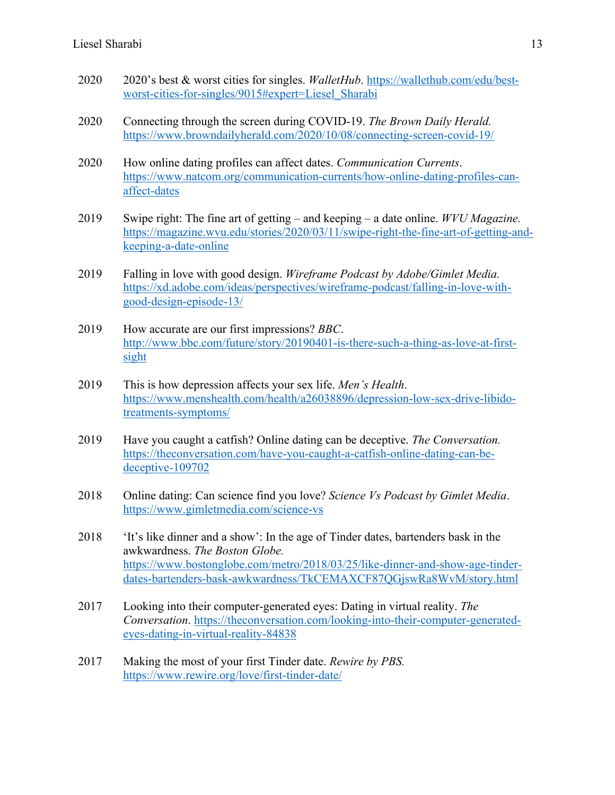- 2020 2020's best & worst cities for singles. *WalletHub*. https://wallethub.com/edu/bestworst-cities-for-singles/9015#expert=Liesel\_Sharabi
- 2020 Connecting through the screen during COVID-19. *The Brown Daily Herald.*  https://www.browndailyherald.com/2020/10/08/connecting-screen-covid-19/
- 2020 How online dating profiles can affect dates. *Communication Currents*. https://www.natcom.org/communication-currents/how-online-dating-profiles-canaffect-dates
- 2019 Swipe right: The fine art of getting and keeping a date online. *WVU Magazine.*  https://magazine.wvu.edu/stories/2020/03/11/swipe-right-the-fine-art-of-getting-andkeeping-a-date-online
- 2019 Falling in love with good design. *Wireframe Podcast by Adobe/Gimlet Media.*  https://xd.adobe.com/ideas/perspectives/wireframe-podcast/falling-in-love-withgood-design-episode-13/
- 2019 How accurate are our first impressions? *BBC*. http://www.bbc.com/future/story/20190401-is-there-such-a-thing-as-love-at-firstsight
- 2019 This is how depression affects your sex life. *Men's Health*. https://www.menshealth.com/health/a26038896/depression-low-sex-drive-libidotreatments-symptoms/
- 2019 Have you caught a catfish? Online dating can be deceptive. *The Conversation.*  https://theconversation.com/have-you-caught-a-catfish-online-dating-can-bedeceptive-109702
- 2018 Online dating: Can science find you love? *Science Vs Podcast by Gimlet Media*. https://www.gimletmedia.com/science-vs
- 2018 'It's like dinner and a show': In the age of Tinder dates, bartenders bask in the awkwardness. *The Boston Globe.*  https://www.bostonglobe.com/metro/2018/03/25/like-dinner-and-show-age-tinderdates-bartenders-bask-awkwardness/TkCEMAXCF87QGjswRa8WvM/story.html
- 2017 Looking into their computer-generated eyes: Dating in virtual reality. *The Conversation*. https://theconversation.com/looking-into-their-computer-generatedeyes-dating-in-virtual-reality-84838
- 2017 Making the most of your first Tinder date. *Rewire by PBS.* https://www.rewire.org/love/first-tinder-date/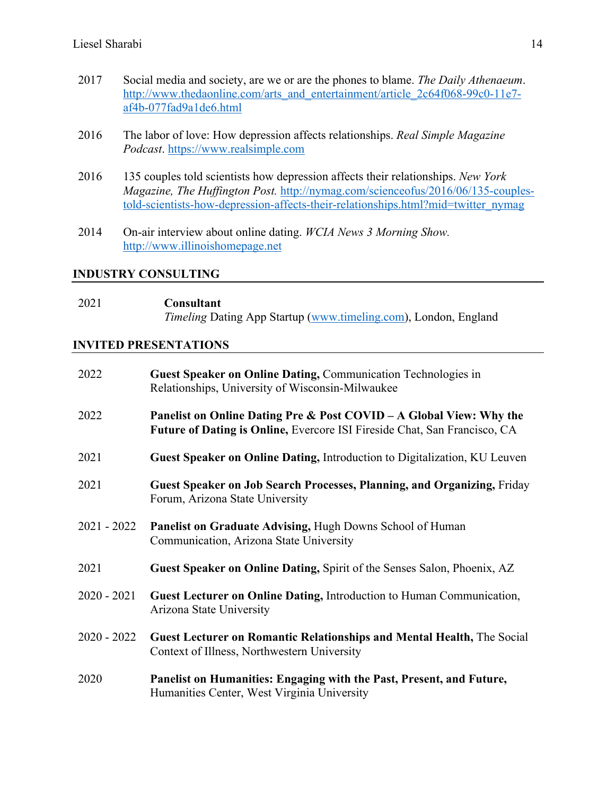- 2017 Social media and society, are we or are the phones to blame. *The Daily Athenaeum*. http://www.thedaonline.com/arts\_and\_entertainment/article\_2c64f068-99c0-11e7af4b-077fad9a1de6.html
- 2016 The labor of love: How depression affects relationships. *Real Simple Magazine Podcast*. https://www.realsimple.com
- 2016 135 couples told scientists how depression affects their relationships. *New York Magazine, The Huffington Post.* http://nymag.com/scienceofus/2016/06/135-couplestold-scientists-how-depression-affects-their-relationships.html?mid=twitter\_nymag
- 2014 On-air interview about online dating. *WCIA News 3 Morning Show.* http://www.illinoishomepage.net

#### **INDUSTRY CONSULTING**

| 2021 | Consultant                                                             |
|------|------------------------------------------------------------------------|
|      | <i>Timeling</i> Dating App Startup (www.timeling.com), London, England |

#### **INVITED PRESENTATIONS**

| 2022          | Guest Speaker on Online Dating, Communication Technologies in<br>Relationships, University of Wisconsin-Milwaukee                                |
|---------------|--------------------------------------------------------------------------------------------------------------------------------------------------|
| 2022          | Panelist on Online Dating Pre & Post COVID – A Global View: Why the<br>Future of Dating is Online, Evercore ISI Fireside Chat, San Francisco, CA |
| 2021          | <b>Guest Speaker on Online Dating, Introduction to Digitalization, KU Leuven</b>                                                                 |
| 2021          | Guest Speaker on Job Search Processes, Planning, and Organizing, Friday<br>Forum, Arizona State University                                       |
| $2021 - 2022$ | <b>Panelist on Graduate Advising, Hugh Downs School of Human</b><br>Communication, Arizona State University                                      |
| 2021          | Guest Speaker on Online Dating, Spirit of the Senses Salon, Phoenix, AZ                                                                          |
| $2020 - 2021$ | Guest Lecturer on Online Dating, Introduction to Human Communication,<br>Arizona State University                                                |
| $2020 - 2022$ | <b>Guest Lecturer on Romantic Relationships and Mental Health, The Social</b><br>Context of Illness, Northwestern University                     |
| 2020          | Panelist on Humanities: Engaging with the Past, Present, and Future,<br>Humanities Center, West Virginia University                              |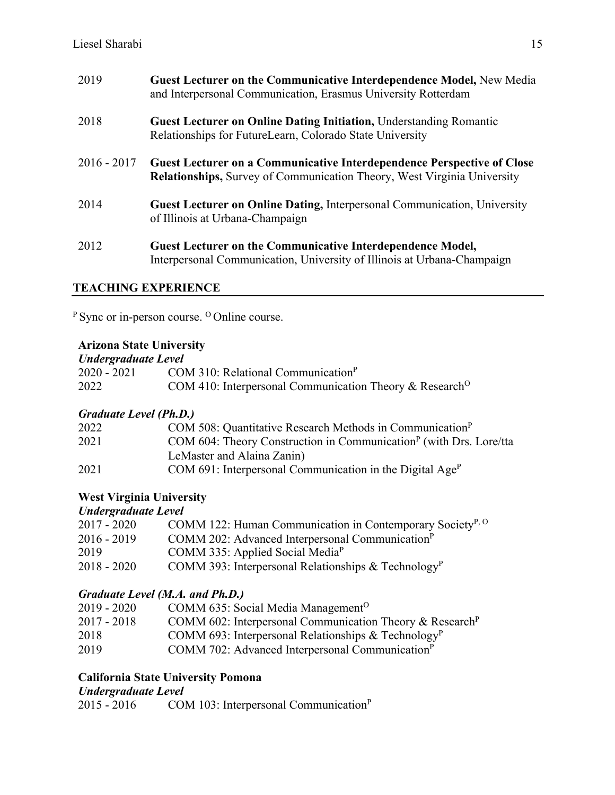| 2019          | <b>Guest Lecturer on the Communicative Interdependence Model, New Media</b><br>and Interpersonal Communication, Erasmus University Rotterdam                    |
|---------------|-----------------------------------------------------------------------------------------------------------------------------------------------------------------|
| 2018          | <b>Guest Lecturer on Online Dating Initiation, Understanding Romantic</b><br>Relationships for FutureLearn, Colorado State University                           |
| $2016 - 2017$ | <b>Guest Lecturer on a Communicative Interdependence Perspective of Close</b><br><b>Relationships, Survey of Communication Theory, West Virginia University</b> |
| 2014          | <b>Guest Lecturer on Online Dating, Interpersonal Communication, University</b><br>of Illinois at Urbana-Champaign                                              |
| 2012          | <b>Guest Lecturer on the Communicative Interdependence Model,</b><br>Interpersonal Communication, University of Illinois at Urbana-Champaign                    |

## **TEACHING EXPERIENCE**

<sup>P</sup> Sync or in-person course. <sup>O</sup> Online course.

## **Arizona State University**

| Undergraduate Level |                                                                     |  |
|---------------------|---------------------------------------------------------------------|--|
| 2020 - 2021         | COM 310: Relational Communication <sup>P</sup>                      |  |
| 2022                | COM 410: Interpersonal Communication Theory & Research <sup>O</sup> |  |

## *Graduate Level (Ph.D.)*

| 2022 | COM 508: Quantitative Research Methods in Communication <sup>P</sup>           |
|------|--------------------------------------------------------------------------------|
| 2021 | COM 604: Theory Construction in Communication <sup>P</sup> (with Drs. Lore/tta |
|      | LeMaster and Alaina Zanin)                                                     |
| 2021 | COM 691: Interpersonal Communication in the Digital Age <sup>P</sup>           |

## **West Virginia University**

*Undergraduate Level*

| $2017 - 2020$ | COMM 122: Human Communication in Contemporary Society <sup>P, O</sup> |
|---------------|-----------------------------------------------------------------------|
| $2016 - 2019$ | COMM 202: Advanced Interpersonal Communication <sup>P</sup>           |
| 2019          | COMM 335: Applied Social Media <sup>P</sup>                           |
| $2018 - 2020$ | COMM 393: Interpersonal Relationships & Technology <sup>P</sup>       |
|               |                                                                       |

## *Graduate Level (M.A. and Ph.D.)*

| $2019 - 2020$ | COMM 635: Social Media Management <sup>O</sup>                       |
|---------------|----------------------------------------------------------------------|
| $2017 - 2018$ | COMM 602: Interpersonal Communication Theory & Research <sup>P</sup> |
| 2018          | COMM 693: Interpersonal Relationships & Technology <sup>P</sup>      |
| 2019          | COMM 702: Advanced Interpersonal Communication <sup>P</sup>          |

## **California State University Pomona**

# *Undergraduate Level*

COM 103: Interpersonal Communication<sup>P</sup>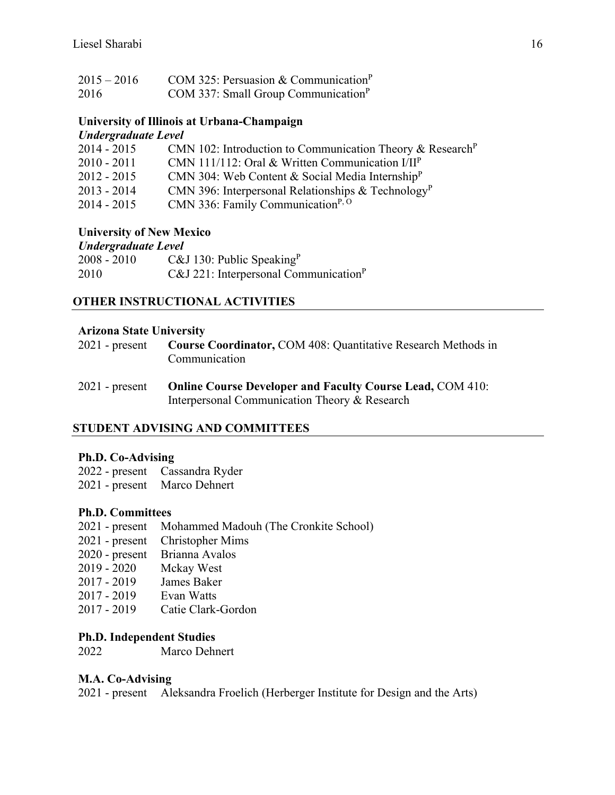| $2015 - 2016$ | COM 325: Persuasion & Communication <sup>P</sup> |
|---------------|--------------------------------------------------|
| 2016          | COM 337: Small Group Communication <sup>P</sup>  |

#### **University of Illinois at Urbana-Champaign** *Undergraduate Level*

| $\epsilon$ and $\epsilon$ and $\epsilon$ is $\epsilon$ and $\epsilon$ and $\epsilon$ and $\epsilon$ and $\epsilon$ and $\epsilon$ and $\epsilon$ and $\epsilon$ and $\epsilon$ and $\epsilon$ and $\epsilon$ and $\epsilon$ and $\epsilon$ and $\epsilon$ and $\epsilon$ and $\epsilon$ and $\epsilon$ and $\epsilon$ and $\epsilon$ and $\epsilon$ and $\epsilon$ and $\epsilon$ a |                                                                       |
|-------------------------------------------------------------------------------------------------------------------------------------------------------------------------------------------------------------------------------------------------------------------------------------------------------------------------------------------------------------------------------------|-----------------------------------------------------------------------|
| $2014 - 2015$                                                                                                                                                                                                                                                                                                                                                                       | CMN 102: Introduction to Communication Theory & Research <sup>P</sup> |
| $2010 - 2011$                                                                                                                                                                                                                                                                                                                                                                       | CMN 111/112: Oral & Written Communication $I/IIP$                     |
| $2012 - 2015$                                                                                                                                                                                                                                                                                                                                                                       | CMN 304: Web Content & Social Media Internship <sup>P</sup>           |
| $2013 - 2014$                                                                                                                                                                                                                                                                                                                                                                       | CMN 396: Interpersonal Relationships & Technology <sup>P</sup>        |
| $2014 - 2015$                                                                                                                                                                                                                                                                                                                                                                       | CMN 336: Family Communication <sup>P, O</sup>                         |
|                                                                                                                                                                                                                                                                                                                                                                                     |                                                                       |

#### **University of New Mexico**

| <b>Undergraduate Level</b> |                                                   |  |
|----------------------------|---------------------------------------------------|--|
| $2008 - 2010$              | C&J 130: Public Speaking <sup>P</sup>             |  |
| 2010                       | C&J 221: Interpersonal Communication <sup>P</sup> |  |

## **OTHER INSTRUCTIONAL ACTIVITIES**

#### **Arizona State University**

| $2021$ - present | <b>Course Coordinator, COM 408: Quantitative Research Methods in</b> |
|------------------|----------------------------------------------------------------------|
|                  | Communication                                                        |

| $2021$ - present | <b>Online Course Developer and Faculty Course Lead, COM 410:</b> |
|------------------|------------------------------------------------------------------|
|                  | Interpersonal Communication Theory & Research                    |

## **STUDENT ADVISING AND COMMITTEES**

#### **Ph.D. Co-Advising**

2022 - present Cassandra Ryder

2021 - present Marco Dehnert

#### **Ph.D. Committees**

- 2021 present Mohammed Madouh (The Cronkite School)
- 2021 present Christopher Mims
- 2020 present Brianna Avalos<br>2019 2020 Mckay West
- Mckay West
- 2017 2019 James Baker
- 2017 2019 Evan Watts
- 2017 2019 Catie Clark-Gordon

#### **Ph.D. Independent Studies**

2022 Marco Dehnert

#### **M.A. Co-Advising**

2021 - present Aleksandra Froelich (Herberger Institute for Design and the Arts)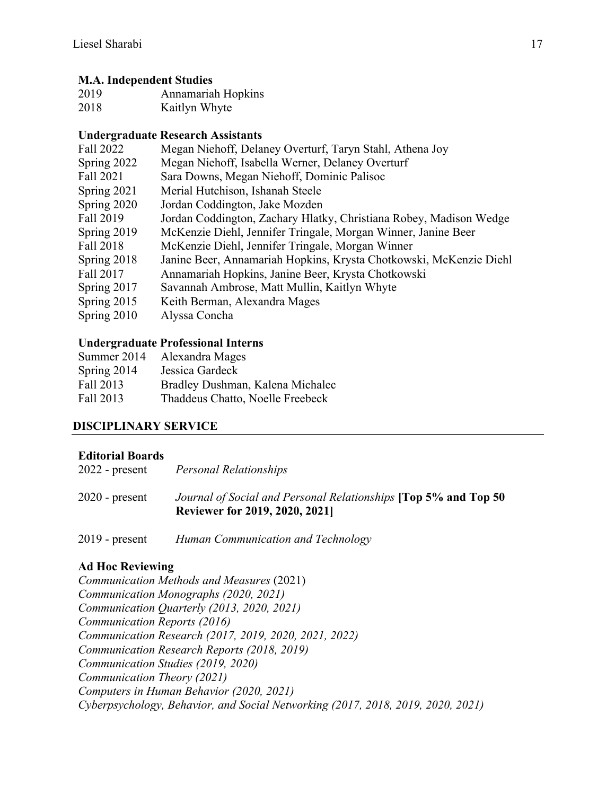## **M.A. Independent Studies**

| 2019 | Annamariah Hopkins |
|------|--------------------|
| 2018 | Kaitlyn Whyte      |

## **Undergraduate Research Assistants**

| Megan Niehoff, Delaney Overturf, Taryn Stahl, Athena Joy           |
|--------------------------------------------------------------------|
| Megan Niehoff, Isabella Werner, Delaney Overturf                   |
| Sara Downs, Megan Niehoff, Dominic Palisoc                         |
| Merial Hutchison, Ishanah Steele                                   |
| Jordan Coddington, Jake Mozden                                     |
| Jordan Coddington, Zachary Hlatky, Christiana Robey, Madison Wedge |
| McKenzie Diehl, Jennifer Tringale, Morgan Winner, Janine Beer      |
| McKenzie Diehl, Jennifer Tringale, Morgan Winner                   |
| Janine Beer, Annamariah Hopkins, Krysta Chotkowski, McKenzie Diehl |
| Annamariah Hopkins, Janine Beer, Krysta Chotkowski                 |
| Savannah Ambrose, Matt Mullin, Kaitlyn Whyte                       |
| Keith Berman, Alexandra Mages                                      |
| Alyssa Concha                                                      |
|                                                                    |

## **Undergraduate Professional Interns**

| Summer 2014 | Alexandra Mages                  |
|-------------|----------------------------------|
| Spring 2014 | Jessica Gardeck                  |
| Fall 2013   | Bradley Dushman, Kalena Michalec |
| Fall 2013   | Thaddeus Chatto, Noelle Freebeck |

## **DISCIPLINARY SERVICE**

#### **Editorial Boards**

| $2022$ - present | Personal Relationships                                                                                         |
|------------------|----------------------------------------------------------------------------------------------------------------|
| $2020$ - present | Journal of Social and Personal Relationships <b>[Top 5% and Top 50</b><br><b>Reviewer for 2019, 2020, 2021</b> |

2019 - present *Human Communication and Technology*

## **Ad Hoc Reviewing**

*Communication Methods and Measures* (2021) *Communication Monographs (2020, 2021) Communication Quarterly (2013, 2020, 2021) Communication Reports (2016) Communication Research (2017, 2019, 2020, 2021, 2022) Communication Research Reports (2018, 2019) Communication Studies (2019, 2020) Communication Theory (2021) Computers in Human Behavior (2020, 2021) Cyberpsychology, Behavior, and Social Networking (2017, 2018, 2019, 2020, 2021)*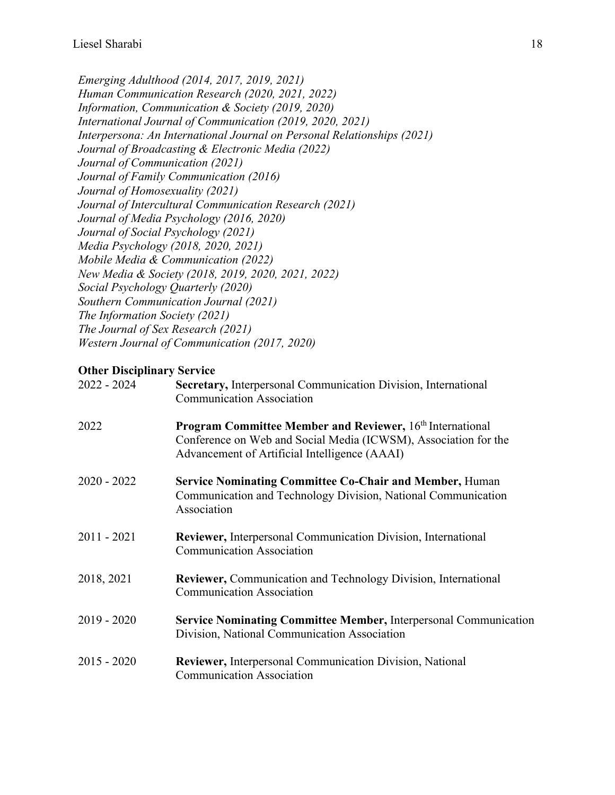*Emerging Adulthood (2014, 2017, 2019, 2021) Human Communication Research (2020, 2021, 2022) Information, Communication & Society (2019, 2020) International Journal of Communication (2019, 2020, 2021) Interpersona: An International Journal on Personal Relationships (2021) Journal of Broadcasting & Electronic Media (2022) Journal of Communication (2021) Journal of Family Communication (2016) Journal of Homosexuality (2021) Journal of Intercultural Communication Research (2021) Journal of Media Psychology (2016, 2020) Journal of Social Psychology (2021) Media Psychology (2018, 2020, 2021) Mobile Media & Communication (2022) New Media & Society (2018, 2019, 2020, 2021, 2022) Social Psychology Quarterly (2020) Southern Communication Journal (2021) The Information Society (2021) The Journal of Sex Research (2021) Western Journal of Communication (2017, 2020)*

## **Other Disciplinary Service**<br>2022 - 2024 **Secretary**

| $2022 - 2024$ | Secretary, Interpersonal Communication Division, International<br><b>Communication Association</b>                                                                                   |
|---------------|--------------------------------------------------------------------------------------------------------------------------------------------------------------------------------------|
| 2022          | <b>Program Committee Member and Reviewer, 16th International</b><br>Conference on Web and Social Media (ICWSM), Association for the<br>Advancement of Artificial Intelligence (AAAI) |
| $2020 - 2022$ | <b>Service Nominating Committee Co-Chair and Member, Human</b><br>Communication and Technology Division, National Communication<br>Association                                       |
| $2011 - 2021$ | <b>Reviewer, Interpersonal Communication Division, International</b><br><b>Communication Association</b>                                                                             |
| 2018, 2021    | <b>Reviewer, Communication and Technology Division, International</b><br><b>Communication Association</b>                                                                            |
| $2019 - 2020$ | <b>Service Nominating Committee Member, Interpersonal Communication</b><br>Division, National Communication Association                                                              |
| $2015 - 2020$ | <b>Reviewer, Interpersonal Communication Division, National</b><br><b>Communication Association</b>                                                                                  |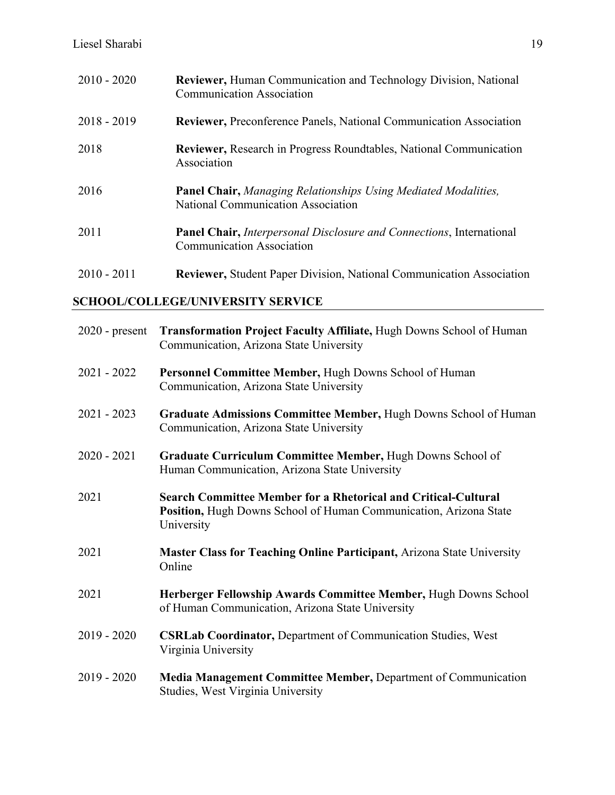| $2010 - 2020$ | <b>Reviewer, Human Communication and Technology Division, National</b><br><b>Communication Association</b>      |
|---------------|-----------------------------------------------------------------------------------------------------------------|
| $2018 - 2019$ | <b>Reviewer, Preconference Panels, National Communication Association</b>                                       |
| 2018          | <b>Reviewer, Research in Progress Roundtables, National Communication</b><br>Association                        |
| 2016          | <b>Panel Chair, Managing Relationships Using Mediated Modalities,</b><br>National Communication Association     |
| 2011          | <b>Panel Chair, Interpersonal Disclosure and Connections, International</b><br><b>Communication Association</b> |
| $2010 - 2011$ | <b>Reviewer, Student Paper Division, National Communication Association</b>                                     |

## **SCHOOL/COLLEGE/UNIVERSITY SERVICE**

| $2020$ - present | Transformation Project Faculty Affiliate, Hugh Downs School of Human<br>Communication, Arizona State University                                          |
|------------------|----------------------------------------------------------------------------------------------------------------------------------------------------------|
| $2021 - 2022$    | Personnel Committee Member, Hugh Downs School of Human<br>Communication, Arizona State University                                                        |
| $2021 - 2023$    | Graduate Admissions Committee Member, Hugh Downs School of Human<br>Communication, Arizona State University                                              |
| $2020 - 2021$    | Graduate Curriculum Committee Member, Hugh Downs School of<br>Human Communication, Arizona State University                                              |
| 2021             | <b>Search Committee Member for a Rhetorical and Critical-Cultural</b><br>Position, Hugh Downs School of Human Communication, Arizona State<br>University |
| 2021             | Master Class for Teaching Online Participant, Arizona State University<br>Online                                                                         |
| 2021             | Herberger Fellowship Awards Committee Member, Hugh Downs School<br>of Human Communication, Arizona State University                                      |
| $2019 - 2020$    | <b>CSRLab Coordinator, Department of Communication Studies, West</b><br>Virginia University                                                              |
| $2019 - 2020$    | Media Management Committee Member, Department of Communication<br>Studies, West Virginia University                                                      |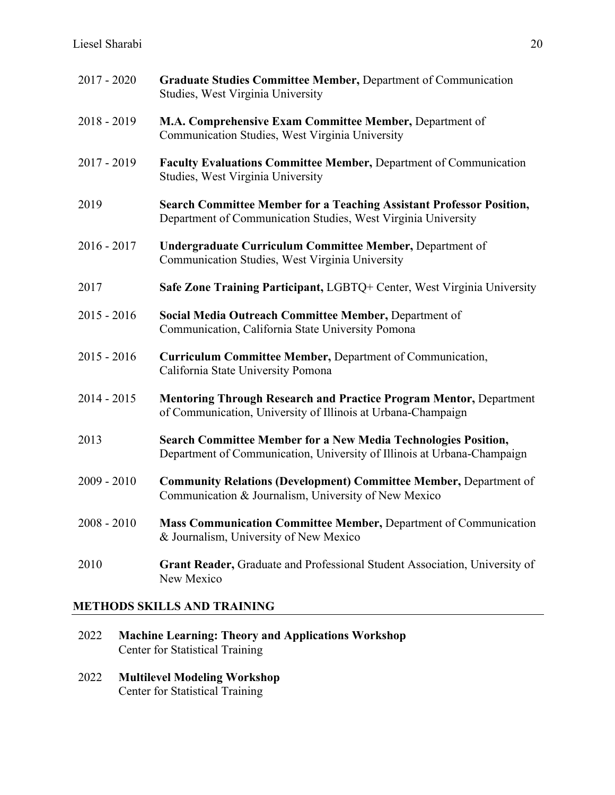| $2017 - 2020$ | Graduate Studies Committee Member, Department of Communication<br>Studies, West Virginia University                                              |
|---------------|--------------------------------------------------------------------------------------------------------------------------------------------------|
| $2018 - 2019$ | M.A. Comprehensive Exam Committee Member, Department of<br>Communication Studies, West Virginia University                                       |
| $2017 - 2019$ | Faculty Evaluations Committee Member, Department of Communication<br>Studies, West Virginia University                                           |
| 2019          | <b>Search Committee Member for a Teaching Assistant Professor Position,</b><br>Department of Communication Studies, West Virginia University     |
| $2016 - 2017$ | <b>Undergraduate Curriculum Committee Member, Department of</b><br>Communication Studies, West Virginia University                               |
| 2017          | Safe Zone Training Participant, LGBTQ+ Center, West Virginia University                                                                          |
| $2015 - 2016$ | Social Media Outreach Committee Member, Department of<br>Communication, California State University Pomona                                       |
| $2015 - 2016$ | Curriculum Committee Member, Department of Communication,<br>California State University Pomona                                                  |
| $2014 - 2015$ | Mentoring Through Research and Practice Program Mentor, Department<br>of Communication, University of Illinois at Urbana-Champaign               |
| 2013          | <b>Search Committee Member for a New Media Technologies Position,</b><br>Department of Communication, University of Illinois at Urbana-Champaign |
| $2009 - 2010$ | <b>Community Relations (Development) Committee Member, Department of</b><br>Communication & Journalism, University of New Mexico                 |
| $2008 - 2010$ | Mass Communication Committee Member, Department of Communication<br>& Journalism, University of New Mexico                                       |
| 2010          | Grant Reader, Graduate and Professional Student Association, University of<br>New Mexico                                                         |

## **METHODS SKILLS AND TRAINING**

- 2022 **Machine Learning: Theory and Applications Workshop** Center for Statistical Training
- 2022 **Multilevel Modeling Workshop** Center for Statistical Training